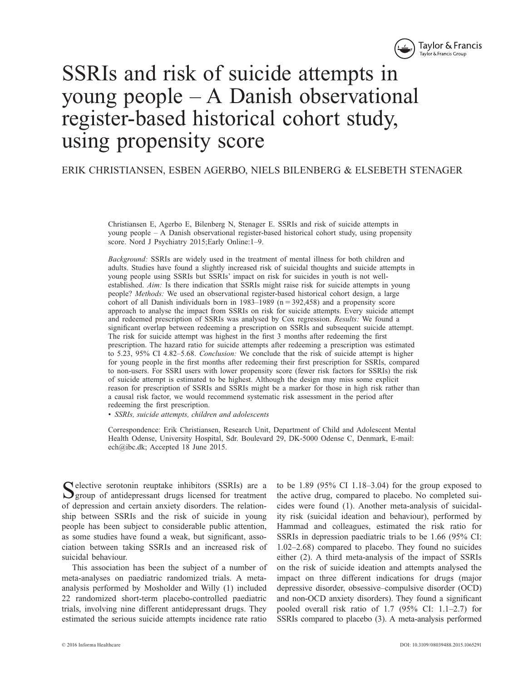

# SSRIs and risk of suicide attempts in young people – A Danish observational register-based historical cohort study, using propensity score

ERIK CHRISTIANSEN , ESBEN AGERBO , NIELS BILENBERG & ELSEBETH STENAGER

 Christiansen E, Agerbo E, Bilenberg N, Stenager E. SSRIs and risk of suicide attempts in young people – A Danish observational register-based historical cohort study, using propensity score. Nord J Psychiatry 2015; Early Online: 1-9.

*Background:* SSRIs are widely used in the treatment of mental illness for both children and adults. Studies have found a slightly increased risk of suicidal thoughts and suicide attempts in young people using SSRIs but SSRIs ' impact on risk for suicides in youth is not wellestablished. *Aim:* Is there indication that SSRIs might raise risk for suicide attempts in young people? *Methods:* We used an observational register-based historical cohort design, a large cohort of all Danish individuals born in  $1983-1989$  (n = 392,458) and a propensity score approach to analyse the impact from SSRIs on risk for suicide attempts. Every suicide attempt and redeemed prescription of SSRIs was analysed by Cox regression. *Results:* We found a significant overlap between redeeming a prescription on SSRIs and subsequent suicide attempt. The risk for suicide attempt was highest in the first 3 months after redeeming the first prescription. The hazard ratio for suicide attempts after redeeming a prescription was estimated to 5.23, 95% CI 4.82–5.68. *Conclusion:* We conclude that the risk of suicide attempt is higher for young people in the first months after redeeming their first prescription for SSRIs, compared to non-users. For SSRI users with lower propensity score (fewer risk factors for SSRIs) the risk of suicide attempt is estimated to be highest. Although the design may miss some explicit reason for prescription of SSRIs and SSRIs might be a marker for those in high risk rather than a causal risk factor, we would recommend systematic risk assessment in the period after redeeming the first prescription.

*• SSRIs , suicide attempts , children and adolescents* 

 Correspondence: Erik Christiansen, Research Unit, Department of Child and Adolescent Mental Health Odense, University Hospital, Sdr. Boulevard 29, DK-5000 Odense C, Denmark, E-mail: ech@ibc.dk; Accepted 18 June 2015.

Selective serotonin reuptake inhibitors (SSRIs) are a group of antidepressant drugs licensed for treatment of depression and certain anxiety disorders. The relationship between SSRIs and the risk of suicide in young people has been subject to considerable public attention, as some studies have found a weak, but significant, association between taking SSRIs and an increased risk of suicidal behaviour.

 This association has been the subject of a number of meta-analyses on paediatric randomized trials. A metaanalysis performed by Mosholder and Willy (1) included 22 randomized short-term placebo-controlled paediatric trials, involving nine different antidepressant drugs. They estimated the serious suicide attempts incidence rate ratio

to be 1.89 (95% CI 1.18–3.04) for the group exposed to the active drug, compared to placebo. No completed suicides were found (1). Another meta-analysis of suicidality risk (suicidal ideation and behaviour), performed by Hammad and colleagues, estimated the risk ratio for SSRIs in depression paediatric trials to be 1.66 (95% CI:  $1.02 - 2.68$ ) compared to placebo. They found no suicides either (2). A third meta-analysis of the impact of SSRIs on the risk of suicide ideation and attempts analysed the impact on three different indications for drugs (major depressive disorder, obsessive – compulsive disorder (OCD) and non-OCD anxiety disorders). They found a significant pooled overall risk ratio of  $1.7$  (95% CI:  $1.1-2.7$ ) for SSRIs compared to placebo (3). A meta-analysis performed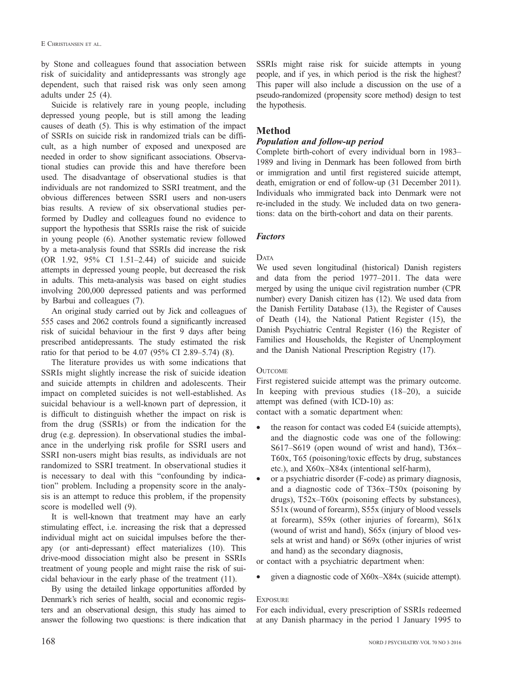by Stone and colleagues found that association between risk of suicidality and antidepressants was strongly age dependent, such that raised risk was only seen among adults under 25 (4).

 Suicide is relatively rare in young people, including depressed young people, but is still among the leading causes of death (5). This is why estimation of the impact of SSRIs on suicide risk in randomized trials can be difficult, as a high number of exposed and unexposed are needed in order to show significant associations. Observational studies can provide this and have therefore been used. The disadvantage of observational studies is that individuals are not randomized to SSRI treatment, and the obvious differences between SSRI users and non-users bias results. A review of six observational studies performed by Dudley and colleagues found no evidence to support the hypothesis that SSRIs raise the risk of suicide in young people (6). Another systematic review followed by a meta-analysis found that SSRIs did increase the risk  $(OR$  1.92, 95% CI 1.51-2.44) of suicide and suicide attempts in depressed young people, but decreased the risk in adults. This meta-analysis was based on eight studies involving 200,000 depressed patients and was performed by Barbui and colleagues (7).

 An original study carried out by Jick and colleagues of 555 cases and 2062 controls found a significantly increased risk of suicidal behaviour in the first 9 days after being prescribed antidepressants. The study estimated the risk ratio for that period to be  $4.07$  (95% CI 2.89–5.74) (8).

 The literature provides us with some indications that SSRIs might slightly increase the risk of suicide ideation and suicide attempts in children and adolescents. Their impact on completed suicides is not well-established. As suicidal behaviour is a well-known part of depression, it is difficult to distinguish whether the impact on risk is from the drug (SSRIs) or from the indication for the drug (e.g. depression). In observational studies the imbalance in the underlying risk profile for SSRI users and SSRI non-users might bias results, as individuals are not randomized to SSRI treatment. In observational studies it is necessary to deal with this "confounding by indication" problem. Including a propensity score in the analysis is an attempt to reduce this problem, if the propensity score is modelled well (9).

 It is well-known that treatment may have an early stimulating effect, i.e. increasing the risk that a depressed individual might act on suicidal impulses before the therapy (or anti-depressant) effect materializes (10). This drive-mood dissociation might also be present in SSRIs treatment of young people and might raise the risk of suicidal behaviour in the early phase of the treatment (11).

 By using the detailed linkage opportunities afforded by Denmark's rich series of health, social and economic registers and an observational design, this study has aimed to answer the following two questions: is there indication that SSRIs might raise risk for suicide attempts in young people, and if yes, in which period is the risk the highest? This paper will also include a discussion on the use of a pseudo-randomized (propensity score method) design to test the hypothesis.

## **Method**

### *Population and follow-up period*

Complete birth-cohort of every individual born in 1983– 1989 and living in Denmark has been followed from birth or immigration and until first registered suicide attempt, death, emigration or end of follow-up (31 December 2011). Individuals who immigrated back into Denmark were not re-included in the study. We included data on two generations: data on the birth-cohort and data on their parents.

#### *Factors*

#### DATA

 We used seven longitudinal (historical) Danish registers and data from the period 1977–2011. The data were merged by using the unique civil registration number (CPR number) every Danish citizen has (12). We used data from the Danish Fertility Database (13), the Register of Causes of Death (14), the National Patient Register (15), the Danish Psychiatric Central Register (16) the Register of Families and Households, the Register of Unemployment and the Danish National Prescription Registry (17).

#### **OUTCOME**

 First registered suicide attempt was the primary outcome. In keeping with previous studies  $(18-20)$ , a suicide attempt was defined (with ICD-10) as: contact with a somatic department when:

- the reason for contact was coded E4 (suicide attempts), and the diagnostic code was one of the following: S617-S619 (open wound of wrist and hand),  $T36x-$  T60x, T65 (poisoning/toxic effects by drug, substances etc.), and  $X60x-X84x$  (intentional self-harm),
- or a psychiatric disorder (F-code) as primary diagnosis, and a diagnostic code of  $T36x-T50x$  (poisoning by drugs),  $T52x-T60x$  (poisoning effects by substances), S51x (wound of forearm), S55x (injury of blood vessels at forearm), S59x (other injuries of forearm), S61x (wound of wrist and hand), S65x (injury of blood vessels at wrist and hand) or S69x (other injuries of wrist and hand) as the secondary diagnosis,

or contact with a psychiatric department when:

given a diagnostic code of X60x-X84x (suicide attempt).

#### **EXPOSURE**

 For each individual, every prescription of SSRIs redeemed at any Danish pharmacy in the period 1 January 1995 to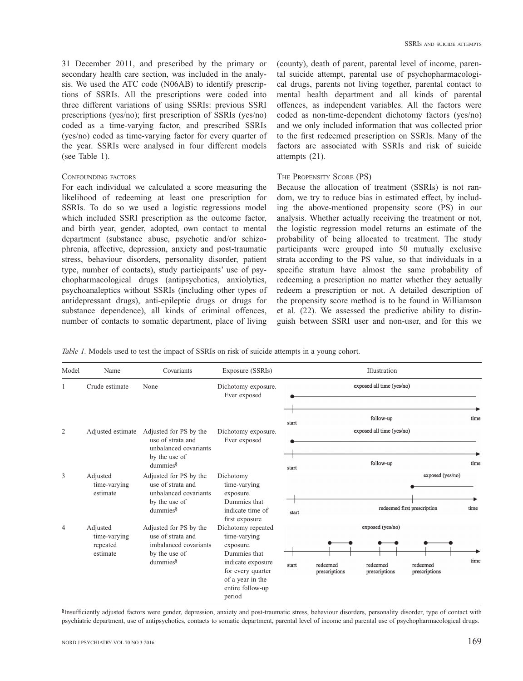31 December 2011, and prescribed by the primary or secondary health care section, was included in the analysis. We used the ATC code (N06AB) to identify prescriptions of SSRIs. All the prescriptions were coded into three different variations of using SSRIs: previous SSRI prescriptions (yes/no); first prescription of SSRIs (yes/no) coded as a time-varying factor, and prescribed SSRIs (yes/no) coded as time-varying factor for every quarter of the year. SSRIs were analysed in four different models (see Table 1).

#### CONFOUNDING FACTORS

 For each individual we calculated a score measuring the likelihood of redeeming at least one prescription for SSRIs. To do so we used a logistic regressions model which included SSRI prescription as the outcome factor, and birth year, gender, adopted, own contact to mental department (substance abuse, psychotic and/or schizophrenia, affective, depression, anxiety and post-traumatic stress, behaviour disorders, personality disorder, patient type, number of contacts), study participants' use of psychopharmacological drugs (antipsychotics, anxiolytics, psychoanaleptics without SSRIs (including other types of antidepressant drugs), anti-epileptic drugs or drugs for substance dependence), all kinds of criminal offences, number of contacts to somatic department, place of living

(county), death of parent, parental level of income, parental suicide attempt, parental use of psychopharmacological drugs, parents not living together, parental contact to mental health department and all kinds of parental offences, as independent variables. All the factors were coded as non-time-dependent dichotomy factors (yes/no) and we only included information that was collected prior to the first redeemed prescription on SSRIs. Many of the factors are associated with SSRIs and risk of suicide attempts (21).

#### THE PROPENSITY SCORE (PS)

 Because the allocation of treatment (SSRIs) is not random, we try to reduce bias in estimated effect, by including the above-mentioned propensity score (PS) in our analysis. Whether actually receiving the treatment or not, the logistic regression model returns an estimate of the probability of being allocated to treatment. The study participants were grouped into 50 mutually exclusive strata according to the PS value, so that individuals in a specific stratum have almost the same probability of redeeming a prescription no matter whether they actually redeem a prescription or not. A detailed description of the propensity score method is to be found in Williamson et al. (22). We assessed the predictive ability to distinguish between SSRI user and non-user, and for this we

*Table 1.* Models used to test the impact of SSRIs on risk of suicide attempts in a young cohort.

| Model          | Name                                             | Covariants                                                                                                                                                                                                                                                                                                                                    | Exposure (SSRIs)                                                                                                                                                              |       |                           | Illustration                                  |                           |                             |  |  |
|----------------|--------------------------------------------------|-----------------------------------------------------------------------------------------------------------------------------------------------------------------------------------------------------------------------------------------------------------------------------------------------------------------------------------------------|-------------------------------------------------------------------------------------------------------------------------------------------------------------------------------|-------|---------------------------|-----------------------------------------------|---------------------------|-----------------------------|--|--|
|                | Crude estimate                                   | None                                                                                                                                                                                                                                                                                                                                          | Dichotomy exposure.<br>Ever exposed                                                                                                                                           |       |                           | exposed all time (yes/no)                     |                           |                             |  |  |
| $\overline{2}$ | Adjusted estimate                                | Adjusted for PS by the<br>Dichotomy exposure.<br>use of strata and<br>Ever exposed<br>unbalanced covariants<br>by the use of<br>$d$ ummies $§$<br>Adjusted for PS by the<br>Dichotomy<br>use of strata and<br>time-varying<br>unbalanced covariants<br>exposure.<br>by the use of<br>Dummies that<br>dummies <sup>§</sup><br>indicate time of |                                                                                                                                                                               | start |                           | follow-up<br>exposed all time (yes/no)        |                           | time                        |  |  |
|                |                                                  |                                                                                                                                                                                                                                                                                                                                               |                                                                                                                                                                               | start |                           | follow-up                                     |                           | time                        |  |  |
| 3              | Adjusted<br>time-varying<br>estimate             |                                                                                                                                                                                                                                                                                                                                               |                                                                                                                                                                               |       |                           |                                               | start                     | redeemed first prescription |  |  |
| $\overline{4}$ | Adjusted<br>time-varying<br>repeated<br>estimate | Adjusted for PS by the<br>use of strata and<br>imbalanced covariants<br>by the use of<br>dummies§                                                                                                                                                                                                                                             | first exposure<br>Dichotomy repeated<br>time-varying<br>exposure.<br>Dummies that<br>indicate exposure<br>for every quarter<br>of a year in the<br>entire follow-up<br>period | start | redeemed<br>prescriptions | exposed (yes/no)<br>redeemed<br>prescriptions | redeemed<br>prescriptions | time                        |  |  |

§Insufficiently adjusted factors were gender, depression, anxiety and post-traumatic stress, behaviour disorders, personality disorder, type of contact with psychiatric department, use of antipsychotics, contacts to somatic department, parental level of income and parental use of psychopharmacological drugs.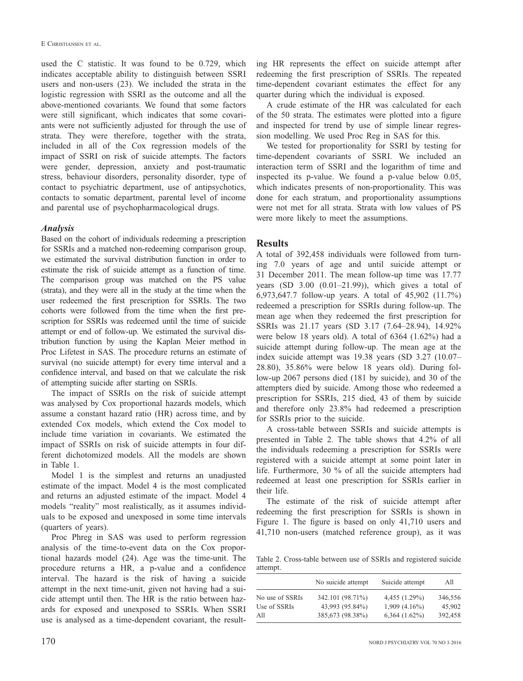used the C statistic. It was found to be 0.729, which indicates acceptable ability to distinguish between SSRI users and non-users (23). We included the strata in the logistic regression with SSRI as the outcome and all the above-mentioned covariants. We found that some factors were still significant, which indicates that some covariants were not sufficiently adjusted for through the use of strata. They were therefore, together with the strata, included in all of the Cox regression models of the impact of SSRI on risk of suicide attempts. The factors were gender, depression, anxiety and post-traumatic stress, behaviour disorders, personality disorder, type of contact to psychiatric department, use of antipsychotics, contacts to somatic department, parental level of income and parental use of psychopharmacological drugs.

#### *Analysis*

 Based on the cohort of individuals redeeming a prescription for SSRIs and a matched non-redeeming comparison group, we estimated the survival distribution function in order to estimate the risk of suicide attempt as a function of time. The comparison group was matched on the PS value (strata), and they were all in the study at the time when the user redeemed the first prescription for SSRIs. The two cohorts were followed from the time when the first prescription for SSRIs was redeemed until the time of suicide attempt or end of follow-up. We estimated the survival distribution function by using the Kaplan Meier method in Proc Lifetest in SAS. The procedure returns an estimate of survival (no suicide attempt) for every time interval and a confidence interval, and based on that we calculate the risk of attempting suicide after starting on SSRIs.

 The impact of SSRIs on the risk of suicide attempt was analysed by Cox proportional hazards models, which assume a constant hazard ratio (HR) across time, and by extended Cox models, which extend the Cox model to include time variation in covariants. We estimated the impact of SSRIs on risk of suicide attempts in four different dichotomized models. All the models are shown in Table 1.

 Model 1 is the simplest and returns an unadjusted estimate of the impact. Model 4 is the most complicated and returns an adjusted estimate of the impact. Model 4 models "reality" most realistically, as it assumes individuals to be exposed and unexposed in some time intervals (quarters of years).

 Proc Phreg in SAS was used to perform regression analysis of the time-to-event data on the Cox proportional hazards model (24). Age was the time-unit. The procedure returns a HR, a p-value and a confidence interval. The hazard is the risk of having a suicide attempt in the next time-unit, given not having had a suicide attempt until then. The HR is the ratio between hazards for exposed and unexposed to SSRIs. When SSRI use is analysed as a time-dependent covariant, the resulting HR represents the effect on suicide attempt after redeeming the first prescription of SSRIs. The repeated time-dependent covariant estimates the effect for any quarter during which the individual is exposed.

 A crude estimate of the HR was calculated for each of the 50 strata. The estimates were plotted into a figure and inspected for trend by use of simple linear regression modelling. We used Proc Reg in SAS for this.

 We tested for proportionality for SSRI by testing for time-dependent covariants of SSRI. We included an interaction term of SSRI and the logarithm of time and inspected its p-value. We found a p-value below 0.05, which indicates presents of non-proportionality. This was done for each stratum, and proportionality assumptions were not met for all strata. Strata with low values of PS were more likely to meet the assumptions.

#### **Results**

 A total of 392,458 individuals were followed from turning 7.0 years of age and until suicide attempt or 31 December 2011. The mean follow-up time was 17.77 years (SD  $3.00$   $(0.01-21.99)$ ), which gives a total of 6,973,647.7 follow-up years. A total of 45,902 (11.7%) redeemed a prescription for SSRIs during follow-up. The mean age when they redeemed the first prescription for SSRIs was 21.17 years (SD 3.17 (7.64–28.94), 14.92% were below 18 years old). A total of 6364 (1.62%) had a suicide attempt during follow-up. The mean age at the index suicide attempt was 19.38 years (SD 3.27 (10.07- 28.80), 35.86% were below 18 years old). During follow-up 2067 persons died (181 by suicide), and 30 of the attempters died by suicide. Among those who redeemed a prescription for SSRIs, 215 died, 43 of them by suicide and therefore only 23.8% had redeemed a prescription for SSRIs prior to the suicide.

 A cross-table between SSRIs and suicide attempts is presented in Table 2. The table shows that 4.2% of all the individuals redeeming a prescription for SSRIs were registered with a suicide attempt at some point later in life. Furthermore, 30 % of all the suicide attempters had redeemed at least one prescription for SSRIs earlier in their life.

 The estimate of the risk of suicide attempt after redeeming the first prescription for SSRIs is shown in Figure 1. The figure is based on only 41,710 users and 41,710 non-users (matched reference group), as it was

 Table 2. Cross-table between use of SSRIs and registered suicide attempt.

|                 | No suicide attempt | Suicide attempt    | A11     |
|-----------------|--------------------|--------------------|---------|
| No use of SSRIs | 342.101 (98.71%)   | $4,455(1.29\%)$    | 346,556 |
| Use of SSRIs    | 43,993 (95.84%)    | $1,909(4.16\%)$    | 45,902  |
| All             | 385,673 (98.38%)   | $6,364$ $(1.62\%)$ | 392,458 |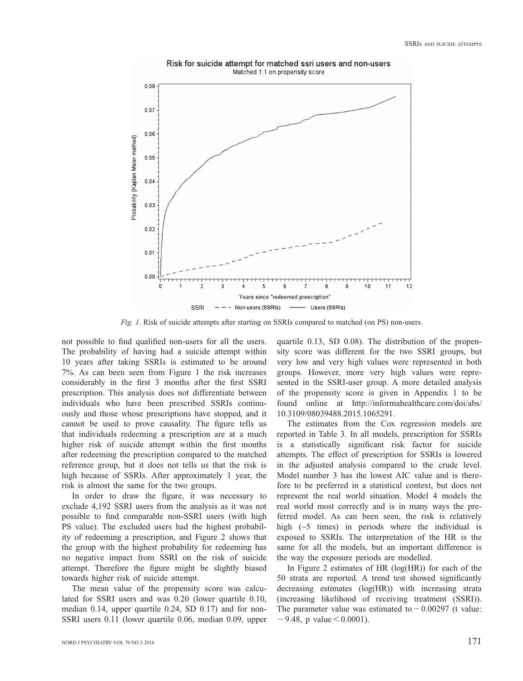

Risk for suicide attempt for matched ssri users and non-users Matched 1:1 on propensity score

*Fig. 1.* Risk of suicide attempts after starting on SSRIs compared to matched (on PS) non-users.

not possible to find qualified non-users for all the users. The probability of having had a suicide attempt within 10 years after taking SSRIs is estimated to be around 7%. As can been seen from Figure 1 the risk increases considerably in the first 3 months after the first SSRI prescription. This analysis does not differentiate between individuals who have been prescribed SSRIs continuously and those whose prescriptions have stopped, and it cannot be used to prove causality. The figure tells us that individuals redeeming a prescription are at a much higher risk of suicide attempt within the first months after redeeming the prescription compared to the matched reference group, but it does not tells us that the risk is high because of SSRIs. After approximately 1 year, the risk is almost the same for the two groups.

In order to draw the figure, it was necessary to exclude 4,192 SSRI users from the analysis as it was not possible to find comparable non-SSRI users (with high PS value). The excluded users had the highest probability of redeeming a prescription, and Figure 2 shows that the group with the highest probability for redeeming has no negative impact from SSRI on the risk of suicide attempt. Therefore the figure might be slightly biased towards higher risk of suicide attempt.

 The mean value of the propensity score was calculated for SSRI users and was 0.20 (lower quartile 0.10, median 0.14, upper quartile 0.24, SD 0.17) and for non-SSRI users 0.11 (lower quartile 0.06, median 0.09, upper quartile 0.13, SD 0.08). The distribution of the propensity score was different for the two SSRI groups, but very low and very high values were represented in both groups. However, more very high values were represented in the SSRI-user group. A more detailed analysis of the propensity score is given in Appendix 1 to be found online at http://informahealthcare.com/doi/abs/ 10.3109/08039488.2015.1065291.

 The estimates from the Cox regression models are reported in Table 3. In all models, prescription for SSRIs is a statistically significant risk factor for suicide attempts. The effect of prescription for SSRIs is lowered in the adjusted analysis compared to the crude level. Model number 3 has the lowest AIC value and is therefore to be preferred in a statistical context, but does not represent the real world situation. Model 4 models the real world most correctly and is in many ways the preferred model. As can been seen, the risk is relatively high  $(~5$  times) in periods where the individual is exposed to SSRIs. The interpretation of the HR is the same for all the models, but an important difference is the way the exposure periods are modelled.

 In Figure 2 estimates of HR (log(HR)) for each of the 50 strata are reported. A trend test showed significantly decreasing estimates (log(HR)) with increasing strata (increasing likelihood of receiving treatment (SSRI)). The parameter value was estimated to  $-0.00297$  (t value:  $-9.48$ , p value  $< 0.0001$ ).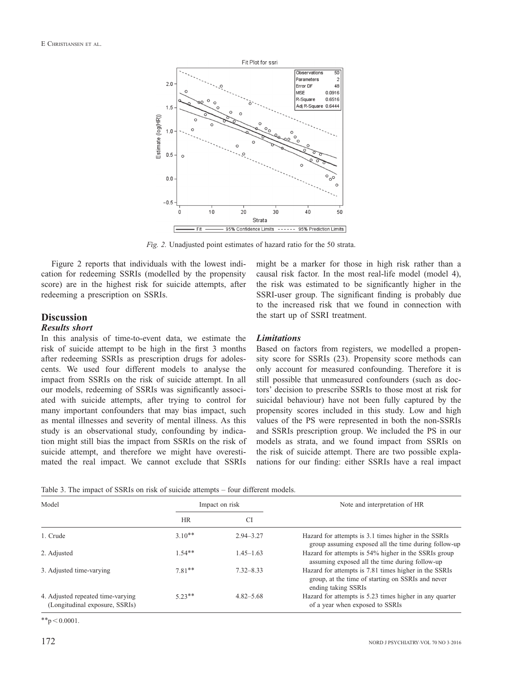

*Fig. 2.* Unadjusted point estimates of hazard ratio for the 50 strata.

 Figure 2 reports that individuals with the lowest indication for redeeming SSRIs (modelled by the propensity score) are in the highest risk for suicide attempts, after redeeming a prescription on SSRIs.

#### **Discussion**

#### *Results short*

 In this analysis of time-to-event data, we estimate the risk of suicide attempt to be high in the first 3 months after redeeming SSRIs as prescription drugs for adolescents. We used four different models to analyse the impact from SSRIs on the risk of suicide attempt. In all our models, redeeming of SSRIs was significantly associated with suicide attempts, after trying to control for many important confounders that may bias impact, such as mental illnesses and severity of mental illness. As this study is an observational study, confounding by indication might still bias the impact from SSRIs on the risk of suicide attempt, and therefore we might have overestimated the real impact. We cannot exclude that SSRIs might be a marker for those in high risk rather than a causal risk factor. In the most real-life model (model 4), the risk was estimated to be significantly higher in the SSRI-user group. The significant finding is probably due to the increased risk that we found in connection with the start up of SSRI treatment.

#### *Limitations*

 Based on factors from registers, we modelled a propensity score for SSRIs (23). Propensity score methods can only account for measured confounding. Therefore it is still possible that unmeasured confounders (such as doctors' decision to prescribe SSRIs to those most at risk for suicidal behaviour) have not been fully captured by the propensity scores included in this study. Low and high values of the PS were represented in both the non-SSRIs and SSRIs prescription group. We included the PS in our models as strata, and we found impact from SSRIs on the risk of suicide attempt. There are two possible explanations for our finding: either SSRIs have a real impact

Table 3. The impact of SSRIs on risk of suicide attempts – four different models.

| Model                                                               |           | Impact on risk | Note and interpretation of HR                                                                                                     |
|---------------------------------------------------------------------|-----------|----------------|-----------------------------------------------------------------------------------------------------------------------------------|
|                                                                     | <b>HR</b> | СI             |                                                                                                                                   |
| 1. Crude                                                            | $3.10**$  | $2.94 - 3.27$  | Hazard for attempts is 3.1 times higher in the SSRIs<br>group assuming exposed all the time during follow-up                      |
| 2. Adjusted                                                         | $1.54**$  | $1.45 - 1.63$  | Hazard for attempts is 54% higher in the SSRIs group<br>assuming exposed all the time during follow-up                            |
| 3. Adjusted time-varying                                            | $7.81**$  | $7.32 - 8.33$  | Hazard for attempts is 7.81 times higher in the SSRIs<br>group, at the time of starting on SSRIs and never<br>ending taking SSRIs |
| 4. Adjusted repeated time-varying<br>(Longitudinal exposure, SSRIs) | $5.23**$  | $4.82 - 5.68$  | Hazard for attempts is 5.23 times higher in any quarter<br>of a year when exposed to SSRIs                                        |

 $*$ \*p  $<$  0.0001.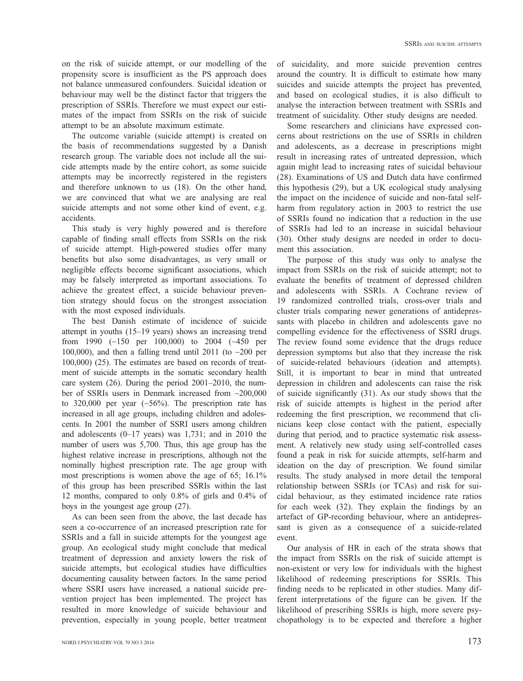on the risk of suicide attempt, or our modelling of the propensity score is insufficient as the PS approach does not balance unmeasured confounders. Suicidal ideation or behaviour may well be the distinct factor that triggers the prescription of SSRIs. Therefore we must expect our estimates of the impact from SSRIs on the risk of suicide attempt to be an absolute maximum estimate.

 The outcome variable (suicide attempt) is created on the basis of recommendations suggested by a Danish research group. The variable does not include all the suicide attempts made by the entire cohort, as some suicide attempts may be incorrectly registered in the registers and therefore unknown to us (18). On the other hand, we are convinced that what we are analysing are real suicide attempts and not some other kind of event, e.g. accidents.

 This study is very highly powered and is therefore capable of finding small effects from SSRIs on the risk of suicide attempt. High-powered studies offer many benefits but also some disadvantages, as very small or negligible effects become significant associations, which may be falsely interpreted as important associations. To achieve the greatest effect, a suicide behaviour prevention strategy should focus on the strongest association with the most exposed individuals.

 The best Danish estimate of incidence of suicide attempt in youths  $(15-19 \text{ years})$  shows an increasing trend from 1990 (~150 per 100,000) to 2004 (~450 per 100,000), and then a falling trend until 2011 (to ~200 per 100,000) (25). The estimates are based on records of treatment of suicide attempts in the somatic secondary health care system  $(26)$ . During the period  $2001-2010$ , the number of SSRIs users in Denmark increased from ∼ 200,000 to 320,000 per year  $(~56\%)$ . The prescription rate has increased in all age groups, including children and adolescents. In 2001 the number of SSRI users among children and adolescents  $(0-17 \text{ years})$  was 1,731; and in 2010 the number of users was 5,700. Thus, this age group has the highest relative increase in prescriptions, although not the nominally highest prescription rate. The age group with most prescriptions is women above the age of 65; 16.1% of this group has been prescribed SSRIs within the last 12 months, compared to only 0.8% of girls and 0.4% of boys in the youngest age group (27).

 As can been seen from the above, the last decade has seen a co-occurrence of an increased prescription rate for SSRIs and a fall in suicide attempts for the youngest age group. An ecological study might conclude that medical treatment of depression and anxiety lowers the risk of suicide attempts, but ecological studies have difficulties documenting causality between factors. In the same period where SSRI users have increased, a national suicide prevention project has been implemented. The project has resulted in more knowledge of suicide behaviour and prevention, especially in young people, better treatment

of suicidality, and more suicide prevention centres around the country. It is difficult to estimate how many suicides and suicide attempts the project has prevented, and based on ecological studies, it is also difficult to analyse the interaction between treatment with SSRIs and treatment of suicidality. Other study designs are needed.

 Some researchers and clinicians have expressed concerns about restrictions on the use of SSRIs in children and adolescents, as a decrease in prescriptions might result in increasing rates of untreated depression, which again might lead to increasing rates of suicidal behaviour  $(28)$ . Examinations of US and Dutch data have confirmed this hypothesis (29), but a UK ecological study analysing the impact on the incidence of suicide and non-fatal selfharm from regulatory action in 2003 to restrict the use of SSRIs found no indication that a reduction in the use of SSRIs had led to an increase in suicidal behaviour (30). Other study designs are needed in order to document this association.

 The purpose of this study was only to analyse the impact from SSRIs on the risk of suicide attempt; not to evaluate the benefits of treatment of depressed children and adolescents with SSRIs. A Cochrane review of 19 randomized controlled trials, cross-over trials and cluster trials comparing newer generations of antidepressants with placebo in children and adolescents gave no compelling evidence for the effectiveness of SSRI drugs. The review found some evidence that the drugs reduce depression symptoms but also that they increase the risk of suicide-related behaviours (ideation and attempts). Still, it is important to bear in mind that untreated depression in children and adolescents can raise the risk of suicide significantly  $(31)$ . As our study shows that the risk of suicide attempts is highest in the period after redeeming the first prescription, we recommend that clinicians keep close contact with the patient, especially during that period, and to practice systematic risk assessment. A relatively new study using self-controlled cases found a peak in risk for suicide attempts, self-harm and ideation on the day of prescription. We found similar results. The study analysed in more detail the temporal relationship between SSRIs (or TCAs) and risk for suicidal behaviour, as they estimated incidence rate ratios for each week  $(32)$ . They explain the findings by an artefact of GP-recording behaviour, where an antidepressant is given as a consequence of a suicide-related event.

 Our analysis of HR in each of the strata shows that the impact from SSRIs on the risk of suicide attempt is non-existent or very low for individuals with the highest likelihood of redeeming prescriptions for SSRIs. This finding needs to be replicated in other studies. Many different interpretations of the figure can be given. If the likelihood of prescribing SSRIs is high, more severe psychopathology is to be expected and therefore a higher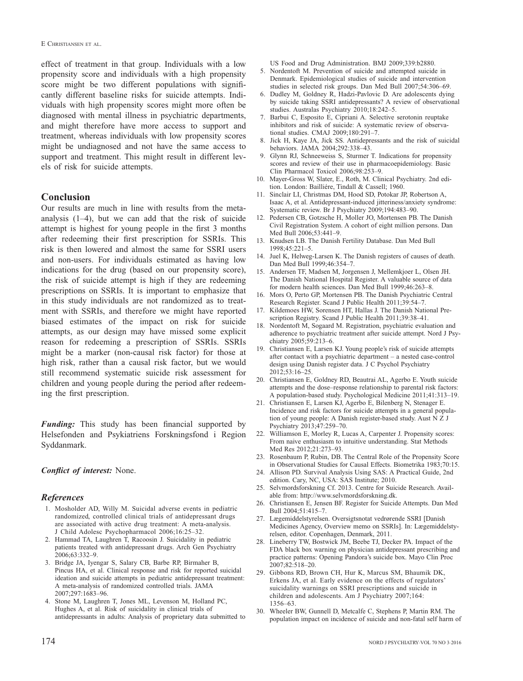effect of treatment in that group. Individuals with a low propensity score and individuals with a high propensity score might be two different populations with significantly different baseline risks for suicide attempts. Individuals with high propensity scores might more often be diagnosed with mental illness in psychiatric departments, and might therefore have more access to support and treatment, whereas individuals with low propensity scores might be undiagnosed and not have the same access to support and treatment. This might result in different levels of risk for suicide attempts.

#### **Conclusion**

 Our results are much in line with results from the metaanalysis  $(1-4)$ , but we can add that the risk of suicide attempt is highest for young people in the first 3 months after redeeming their first prescription for SSRIs. This risk is then lowered and almost the same for SSRI users and non-users. For individuals estimated as having low indications for the drug (based on our propensity score), the risk of suicide attempt is high if they are redeeming prescriptions on SSRIs. It is important to emphasize that in this study individuals are not randomized as to treatment with SSRIs, and therefore we might have reported biased estimates of the impact on risk for suicide attempts, as our design may have missed some explicit reason for redeeming a prescription of SSRIs. SSRIs might be a marker (non-causal risk factor) for those at high risk, rather than a causal risk factor, but we would still recommend systematic suicide risk assessment for children and young people during the period after redeeming the first prescription.

*Funding:* This study has been financial supported by Helsefonden and Psykiatriens Forskningsfond i Region Syddanmark.

#### *Conflict of interest:* None.

#### *References*

- 1. Mosholder AD, Willy M. Suicidal adverse events in pediatric randomized, controlled clinical trials of antidepressant drugs are associated with active drug treatment: A meta-analysis . J Child Adolesc Psychopharmacol 2006;16:25-32.
- 2. Hammad TA, Laughren T, Racoosin J. Suicidality in pediatric patients treated with antidepressant drugs . Arch Gen Psychiatry  $2006.63.332 - 9$
- 3. Bridge JA, Iyengar S, Salary CB, Barbe RP, Birmaher B, Pincus HA, et al. Clinical response and risk for reported suicidal ideation and suicide attempts in pediatric antidepressant treatment: A meta-analysis of randomized controlled trials. JAMA 2007:297:1683-96.
- 4. Stone M, Laughren T, Jones ML, Levenson M, Holland PC, Hughes A, et al. Risk of suicidality in clinical trials of antidepressants in adults: Analysis of proprietary data submitted to

US Food and Drug Administration. BMJ 2009;339:b2880.

- 5. Nordentoft M. Prevention of suicide and attempted suicide in Denmark . Epidemiological studies of suicide and intervention studies in selected risk groups. Dan Med Bull 2007;54:306-69.
- 6. Dudley M, Goldney R, Hadzi-Pavlovic D. Are adolescents dying by suicide taking SSRI antidepressants? A review of observational studies. Australas Psychiatry 2010;18:242-5.
- 7. Barbui C, Esposito E, Cipriani A. Selective serotonin reuptake inhibitors and risk of suicide: A systematic review of observational studies. CMAJ 2009;180:291-7.
- Jick H, Kaye JA, Jick SS. Antidepressants and the risk of suicidal behaviors. JAMA 2004;292:338-43.
- 9. Glynn RJ, Schneeweiss S, Sturmer T. Indications for propensity scores and review of their use in pharmacoepidemiology. Basic Clin Pharmacol Toxicol 2006;98:253-9.
- 10. Mayer-Gross W, Slater, E., Roth, M. Clinical Psychiatry. 2nd edition. London: Bailliére, Tindall & Cassell; 1960.
- 11. Sinclair LI, Christmas DM, Hood SD, Potokar JP, Robertson A, Isaac A , et al . Antidepressant-induced jitteriness/anxiety syndrome: Systematic review. Br J Psychiatry 2009;194:483-90.
- 12. Pedersen CB, Gotzsche H, Moller JO, Mortensen PB. The Danish Civil Registration System . A cohort of eight million persons. Dan Med Bull 2006;53:441-9.
- 13. Knudsen LB. The Danish Fertility Database. Dan Med Bull  $1998:45:221-5$
- 14. Juel K, Helweg-Larsen K. The Danish registers of causes of death. Dan Med Bull 1999:46:354-7.
- 15. Andersen TF, Madsen M, Jorgensen J, Mellemkjoer L, Olsen JH. The Danish National Hospital Register . A valuable source of data for modern health sciences. Dan Med Bull 1999;46:263-8.
- 16. Mors O, Perto GP, Mortensen PB. The Danish Psychiatric Central Research Register. Scand J Public Health 2011:39:54-7.
- Kildemoes HW, Sorensen HT, Hallas J. The Danish National Prescription Registry. Scand J Public Health 2011;39:38-41.
- 18. Nordentoft M, Sogaard M. Registration, psychiatric evaluation and adherence to psychiatric treatment after suicide attempt. Nord J Psychiatry  $2005:59:213-6$ .
- 19. Christiansen E, Larsen KJ. Young people's risk of suicide attempts after contact with a psychiatric department – a nested case-control design using Danish register data . J C Psychol Psychiatry  $2012:53:16 - 25$ .
- 20. Christiansen E, Goldney RD, Beautrai AL, Agerbo E. Youth suicide attempts and the dose-response relationship to parental risk factors: A population-based study. Psychological Medicine  $2011;41:313-19$ .
- 21. Christiansen E, Larsen KJ, Agerbo E, Bilenberg N, Stenager E. Incidence and risk factors for suicide attempts in a general population of young people: A Danish register-based study. Aust  $N \times J$ Psychiatry 2013;47:259-70.
- 22. Williamson E, Morley R, Lucas A, Carpenter J. Propensity scores: From naive enthusiasm to intuitive understanding . Stat Methods Med Res 2012;21:273-93.
- 23. Rosenbaum P, Rubin, DB. The Central Role of the Propensity Score in Observational Studies for Causal Effects. Biometrika 1983;70:15.
- 24. Allison PD. Survival Analysis Using SAS: A Practical Guide, 2nd edition. Cary, NC, USA: SAS Institute; 2010.
- 25. Selvmordsforskning Cf. 2013. Centre for Suicide Research. Available from: http://www.selvmordsforskning.dk.
- 26. Christiansen E, Jensen BF. Register for Suicide Attempts. Dan Med Bull 2004;51:415-7.
- 27. Lægemiddelstyrelsen. Oversigtsnotat vedrørende SSRI [Danish Medicines Agency, Overview memo on SSRIs]. In: Lægemiddelstyrelsen, editor. Copenhagen, Denmark, 2011.
- 28. Lineberry TW, Bostwick JM, Beebe TJ, Decker PA. Impact of the FDA black box warning on physician antidepressant prescribing and practice patterns: Opening Pandora's suicide box. Mayo Clin Proc  $2007;82:518-20.$
- 29. Gibbons RD, Brown CH, Hur K, Marcus SM, Bhaumik DK, Erkens JA, et al. Early evidence on the effects of regulators' suicidality warnings on SSRI prescriptions and suicide in children and adolescents. Am J Psychiatry 2007;164:  $1356 - 63$ .
- 30. Wheeler BW, Gunnell D, Metcalfe C, Stephens P, Martin RM. The population impact on incidence of suicide and non-fatal self harm of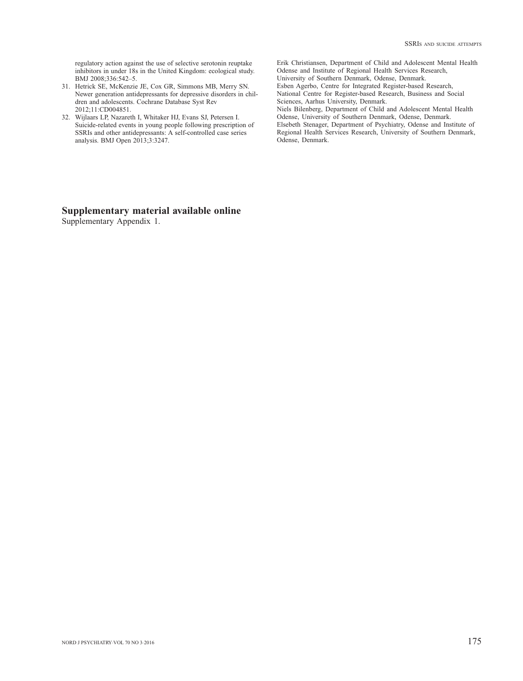regulatory action against the use of selective serotonin reuptake inhibitors in under 18s in the United Kingdom: ecological study. BMJ 2008;336:542-5.

- 31. Hetrick SE, McKenzie JE, Cox GR, Simmons MB, Merry SN. Newer generation antidepressants for depressive disorders in children and adolescents. Cochrane Database Syst Rev 2012:11:CD004851.
- 32. Wijlaars LP, Nazareth I, Whitaker HJ, Evans SJ, Petersen I. Suicide-related events in young people following prescription of SSRIs and other antidepressants: A self-controlled case series analysis. BMJ Open 2013;3:3247.

 Erik Christiansen, Department of Child and Adolescent Mental Health Odense and Institute of Regional Health Services Research, University of Southern Denmark, Odense, Denmark. Esben Agerbo, Centre for Integrated Register-based Research, National Centre for Register-based Research, Business and Social Sciences, Aarhus University, Denmark. Niels Bilenberg, Department of Child and Adolescent Mental Health Odense, University of Southern Denmark, Odense, Denmark.

 Elsebeth Stenager, Department of Psychiatry, Odense and Institute of Regional Health Services Research, University of Southern Denmark, Odense, Denmark.

# **Supplementary material available online**

Supplementary Appendix 1.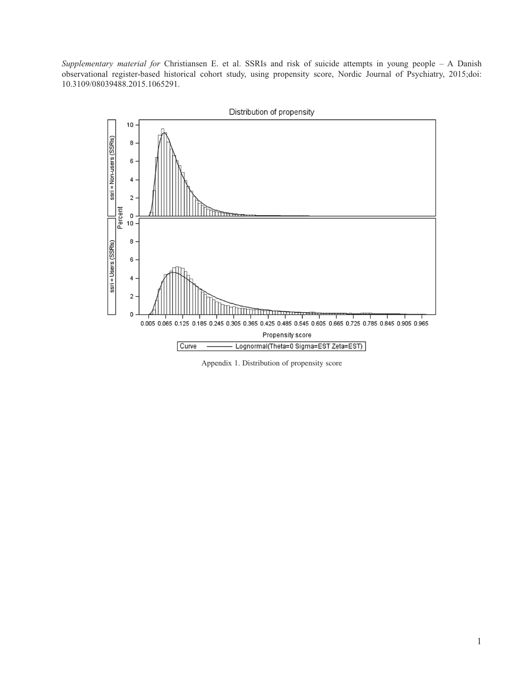*Supplementary material for* Christiansen E. et al. SSRIs and risk of suicide attempts in young people – A Danish observational register-based historical cohort study, using propensity score, Nordic Journal of Psychiatry, 2015;doi: 10.3109/08039488.2015.1065291.



Appendix 1. Distribution of propensity score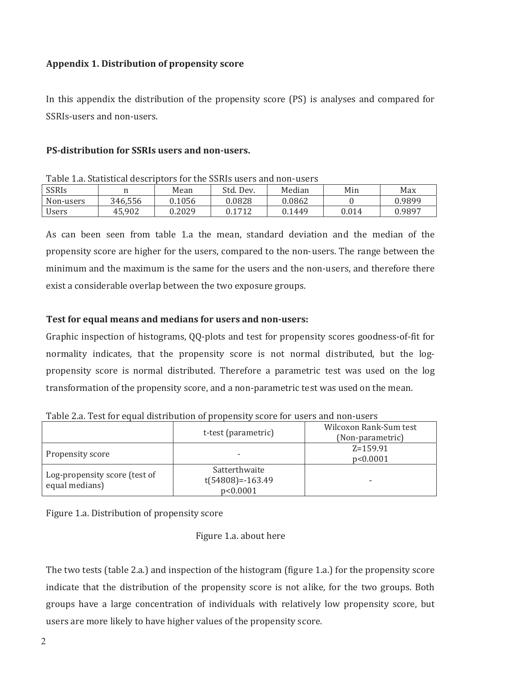# **Appendix 1. Distribution of propensity score**

In this appendix the distribution of the propensity score (PS) is analyses and compared for SSRIs-users and non-users.

# **PS-distribution for SSRIs users and non-users.**

| Table T.a. Statistical describedrs for the SSRIS asers and holf-dscrs |         |        |           |        |       |        |  |  |  |
|-----------------------------------------------------------------------|---------|--------|-----------|--------|-------|--------|--|--|--|
| <b>SSRIS</b>                                                          |         | Mean   | Std. Dev. | Median | Min   | Max    |  |  |  |
| Non-users                                                             | 346,556 | 0.1056 | 0.0828    | 0.0862 |       | 0.9899 |  |  |  |
| <b>Users</b>                                                          | 45.902  | 0.2029 | 0.1712    | 0.1449 | 0.014 | 0.9897 |  |  |  |

Table 1 a Statistical descriptors for the SSRIs users and non-users

As can been seen from table 1.a the mean, standard deviation and the median of the propensity score are higher for the users, compared to the non-users. The range between the minimum and the maximum is the same for the users and the non-users, and therefore there exist a considerable overlap between the two exposure groups.

# **Test for equal means and medians for users and non-users:**

Graphic inspection of histograms, QQ-plots and test for propensity scores goodness-of-fit for normality indicates, that the propensity score is not normal distributed, but the logpropensity score is normal distributed. Therefore a parametric test was used on the log transformation of the propensity score, and a non-parametric test was used on the mean.

| Table mar Teocher equal albumulum or propendity bedie tor abord alla holi abord |                                                 |                                            |  |  |  |  |  |  |
|---------------------------------------------------------------------------------|-------------------------------------------------|--------------------------------------------|--|--|--|--|--|--|
|                                                                                 | t-test (parametric)                             | Wilcoxon Rank-Sum test<br>(Non-parametric) |  |  |  |  |  |  |
| Propensity score                                                                |                                                 | $Z = 159.91$<br>p<0.0001                   |  |  |  |  |  |  |
| Log-propensity score (test of<br>equal medians)                                 | Satterthwaite<br>$t(54808)=-163.49$<br>p<0.0001 |                                            |  |  |  |  |  |  |

Table 2.a. Test for equal distribution of propensity score for users and non-users

Figure 1.a. Distribution of propensity score

Figure 1.a. about here

The two tests (table 2.a.) and inspection of the histogram (figure 1.a.) for the propensity score indicate that the distribution of the propensity score is not alike, for the two groups. Both groups have a large concentration of individuals with relatively low propensity score, but users are more likely to have higher values of the propensity score.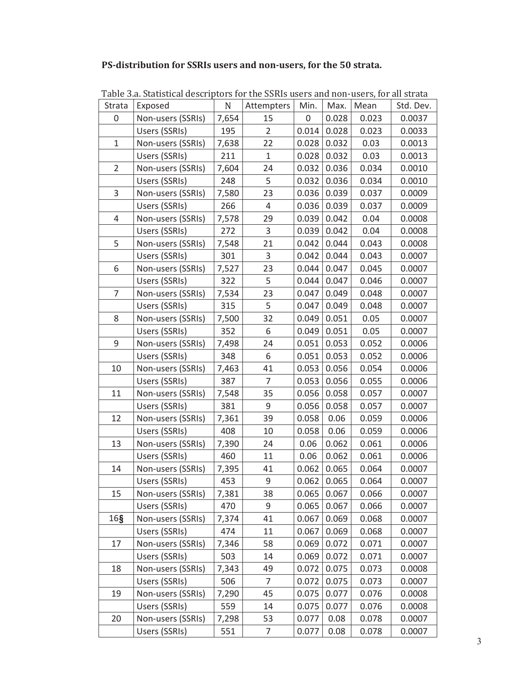# **PS-distribution for SSRIs users and non-users, for the 50 strata.**

|                | rapic bia biaibitica acsemptors for the borns asers and hon-asers, for an stratu |             |                |       |               |       |           |
|----------------|----------------------------------------------------------------------------------|-------------|----------------|-------|---------------|-------|-----------|
| Strata         | Exposed                                                                          | $\mathbf N$ | Attempters     | Min.  | Max.          | Mean  | Std. Dev. |
| 0              | Non-users (SSRIs)                                                                | 7,654       | 15             | 0     | 0.028         | 0.023 | 0.0037    |
|                | Users (SSRIs)                                                                    | 195         | $\overline{2}$ | 0.014 | 0.028         | 0.023 | 0.0033    |
| $\mathbf{1}$   | Non-users (SSRIs)                                                                | 7,638       | 22             | 0.028 | 0.032         | 0.03  | 0.0013    |
|                | Users (SSRIs)                                                                    | 211         | $\mathbf{1}$   | 0.028 | 0.032         | 0.03  | 0.0013    |
| $\overline{2}$ | Non-users (SSRIs)                                                                | 7,604       | 24             | 0.032 | 0.036         | 0.034 | 0.0010    |
|                | Users (SSRIs)                                                                    | 248         | 5              | 0.032 | 0.036         | 0.034 | 0.0010    |
| 3              | Non-users (SSRIs)                                                                | 7,580       | 23             | 0.036 | 0.039         | 0.037 | 0.0009    |
|                | Users (SSRIs)                                                                    | 266         | 4              | 0.036 | 0.039         | 0.037 | 0.0009    |
| 4              | Non-users (SSRIs)                                                                | 7,578       | 29             | 0.039 | 0.042         | 0.04  | 0.0008    |
|                | Users (SSRIs)                                                                    | 272         | 3              | 0.039 | 0.042         | 0.04  | 0.0008    |
| 5              | Non-users (SSRIs)                                                                | 7,548       | 21             | 0.042 | 0.044         | 0.043 | 0.0008    |
|                | Users (SSRIs)                                                                    | 301         | $\mathsf{3}$   | 0.042 | 0.044         | 0.043 | 0.0007    |
| 6              | Non-users (SSRIs)                                                                | 7,527       | 23             | 0.044 | 0.047         | 0.045 | 0.0007    |
|                | Users (SSRIs)                                                                    | 322         | 5              | 0.044 | 0.047         | 0.046 | 0.0007    |
| 7              | Non-users (SSRIs)                                                                | 7,534       | 23             | 0.047 | 0.049         | 0.048 | 0.0007    |
|                | Users (SSRIs)                                                                    | 315         | 5              | 0.047 | 0.049         | 0.048 | 0.0007    |
| 8              | Non-users (SSRIs)                                                                | 7,500       | 32             | 0.049 | 0.051         | 0.05  | 0.0007    |
|                | Users (SSRIs)                                                                    | 352         | 6              | 0.049 | 0.051         | 0.05  | 0.0007    |
| 9              | Non-users (SSRIs)                                                                | 7,498       | 24             | 0.051 | 0.053         | 0.052 | 0.0006    |
|                | Users (SSRIs)                                                                    | 348         | 6              | 0.051 | 0.053         | 0.052 | 0.0006    |
| 10             | Non-users (SSRIs)                                                                | 7,463       | 41             | 0.053 | 0.056         | 0.054 | 0.0006    |
|                | Users (SSRIs)                                                                    | 387         | $\overline{7}$ | 0.053 | 0.056         | 0.055 | 0.0006    |
| 11             | Non-users (SSRIs)                                                                | 7,548       | 35             | 0.056 | 0.058         | 0.057 | 0.0007    |
|                | Users (SSRIs)                                                                    | 381         | 9              | 0.056 | 0.058         | 0.057 | 0.0007    |
| 12             | Non-users (SSRIs)                                                                | 7,361       | 39             | 0.058 | 0.06          | 0.059 | 0.0006    |
|                | Users (SSRIs)                                                                    | 408         | 10             | 0.058 | 0.06          | 0.059 | 0.0006    |
| 13             | Non-users (SSRIs)                                                                | 7,390       | 24             | 0.06  | 0.062         | 0.061 | 0.0006    |
|                | Users (SSRIs)                                                                    | 460         | 11             | 0.06  | 0.062         | 0.061 | 0.0006    |
| 14             | Non-users (SSRIs)                                                                | 7,395       | 41             | 0.062 | 0.065         | 0.064 | 0.0007    |
|                | Users (SSRIs)                                                                    | 453         | 9              |       | $0.062$ 0.065 | 0.064 | 0.0007    |
| 15             | Non-users (SSRIs)                                                                | 7,381       | 38             | 0.065 | 0.067         | 0.066 | 0.0007    |
|                | Users (SSRIs)                                                                    | 470         | 9              | 0.065 | 0.067         | 0.066 | 0.0007    |
| 16§            | Non-users (SSRIs)                                                                | 7,374       | 41             | 0.067 | 0.069         | 0.068 | 0.0007    |
|                | Users (SSRIs)                                                                    | 474         | 11             | 0.067 | 0.069         | 0.068 | 0.0007    |
| 17             | Non-users (SSRIs)                                                                | 7,346       | 58             | 0.069 | 0.072         | 0.071 | 0.0007    |
|                | Users (SSRIs)                                                                    | 503         | 14             | 0.069 | 0.072         | 0.071 | 0.0007    |
| 18             | Non-users (SSRIs)                                                                | 7,343       | 49             | 0.072 | 0.075         | 0.073 | 0.0008    |
|                | Users (SSRIs)                                                                    | 506         | 7              | 0.072 | 0.075         | 0.073 | 0.0007    |
| 19             | Non-users (SSRIs)                                                                | 7,290       | 45             | 0.075 | 0.077         | 0.076 | 0.0008    |
|                | Users (SSRIs)                                                                    | 559         | 14             | 0.075 | 0.077         | 0.076 | 0.0008    |
| 20             | Non-users (SSRIs)                                                                | 7,298       | 53             | 0.077 | 0.08          | 0.078 | 0.0007    |
|                | Users (SSRIs)                                                                    | 551         | 7              | 0.077 | 0.08          | 0.078 | 0.0007    |

Table 3.a. Statistical descriptors for the SSRIs users and non-users, for all strata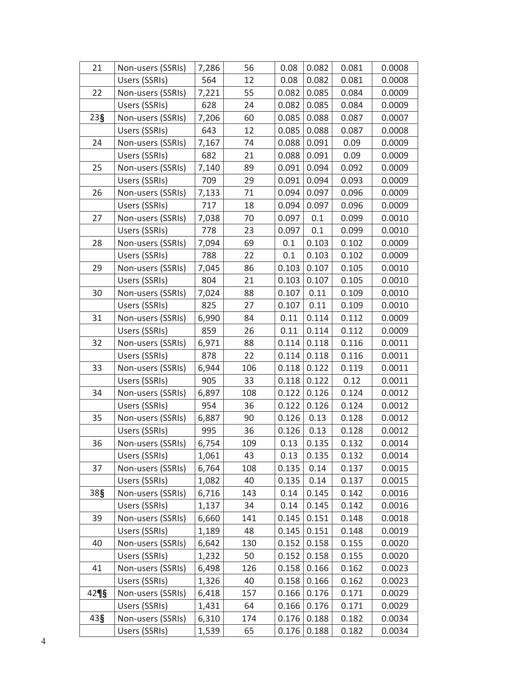| 21              | Non-users (SSRIs) | 7,286 | 56  | 0.08  | 0.082 | 0.081 | 0.0008 |
|-----------------|-------------------|-------|-----|-------|-------|-------|--------|
|                 | Users (SSRIs)     | 564   | 12  | 0.08  | 0.082 | 0.081 | 0.0008 |
| 22              | Non-users (SSRIs) | 7,221 | 55  | 0.082 | 0.085 | 0.084 | 0.0009 |
|                 | Users (SSRIs)     | 628   | 24  | 0.082 | 0.085 | 0.084 | 0.0009 |
| 23 <sub>§</sub> | Non-users (SSRIs) | 7,206 | 60  | 0.085 | 0.088 | 0.087 | 0.0007 |
|                 | Users (SSRIs)     | 643   | 12  | 0.085 | 0.088 | 0.087 | 0.0008 |
| 24              | Non-users (SSRIs) | 7,167 | 74  | 0.088 | 0.091 | 0.09  | 0.0009 |
|                 | Users (SSRIs)     | 682   | 21  | 0.088 | 0.091 | 0.09  | 0.0009 |
| 25              | Non-users (SSRIs) | 7,140 | 89  | 0.091 | 0.094 | 0.092 | 0.0009 |
|                 | Users (SSRIs)     | 709   | 29  | 0.091 | 0.094 | 0.093 | 0.0009 |
| 26              | Non-users (SSRIs) | 7,133 | 71  | 0.094 | 0.097 | 0.096 | 0.0009 |
|                 | Users (SSRIs)     | 717   | 18  | 0.094 | 0.097 | 0.096 | 0.0009 |
| 27              | Non-users (SSRIs) | 7,038 | 70  | 0.097 | 0.1   | 0.099 | 0.0010 |
|                 | Users (SSRIs)     | 778   | 23  | 0.097 | 0.1   | 0.099 | 0.0010 |
| 28              | Non-users (SSRIs) | 7,094 | 69  | 0.1   | 0.103 | 0.102 | 0.0009 |
|                 | Users (SSRIs)     | 788   | 22  | 0.1   | 0.103 | 0.102 | 0.0009 |
| 29              | Non-users (SSRIs) | 7,045 | 86  | 0.103 | 0.107 | 0.105 | 0.0010 |
|                 | Users (SSRIs)     | 804   | 21  | 0.103 | 0.107 | 0.105 | 0.0010 |
| 30              | Non-users (SSRIs) | 7,024 | 88  | 0.107 | 0.11  | 0.109 | 0.0010 |
|                 | Users (SSRIs)     | 825   | 27  | 0.107 | 0.11  | 0.109 | 0.0010 |
| 31              | Non-users (SSRIs) | 6,990 | 84  | 0.11  | 0.114 | 0.112 | 0.0009 |
|                 | Users (SSRIs)     | 859   | 26  | 0.11  | 0.114 | 0.112 | 0.0009 |
| 32              | Non-users (SSRIs) | 6,971 | 88  | 0.114 | 0.118 | 0.116 | 0.0011 |
|                 | Users (SSRIs)     | 878   | 22  | 0.114 | 0.118 | 0.116 | 0.0011 |
| 33              | Non-users (SSRIs) | 6,944 | 106 | 0.118 | 0.122 | 0.119 | 0.0011 |
|                 | Users (SSRIs)     | 905   | 33  | 0.118 | 0.122 | 0.12  | 0.0011 |
| 34              | Non-users (SSRIs) | 6,897 | 108 | 0.122 | 0.126 | 0.124 | 0.0012 |
|                 | Users (SSRIs)     | 954   | 36  | 0.122 | 0.126 | 0.124 | 0.0012 |
| 35              | Non-users (SSRIs) | 6,887 | 90  | 0.126 | 0.13  | 0.128 | 0.0012 |
|                 | Users (SSRIs)     | 995   | 36  | 0.126 | 0.13  | 0.128 | 0.0012 |
| 36              | Non-users (SSRIs) | 6,754 | 109 | 0.13  | 0.135 | 0.132 | 0.0014 |
|                 | Users (SSRIs)     | 1,061 | 43  | 0.13  | 0.135 | 0.132 | 0.0014 |
| 37              | Non-users (SSRIs) | 6,764 | 108 | 0.135 | 0.14  | 0.137 | 0.0015 |
|                 | Users (SSRIs)     | 1,082 | 40  | 0.135 | 0.14  | 0.137 | 0.0015 |
| 38§             | Non-users (SSRIs) | 6,716 | 143 | 0.14  | 0.145 | 0.142 | 0.0016 |
|                 | Users (SSRIs)     | 1,137 | 34  | 0.14  | 0.145 | 0.142 | 0.0016 |
| 39              | Non-users (SSRIs) | 6,660 | 141 | 0.145 | 0.151 | 0.148 | 0.0018 |
|                 | Users (SSRIs)     | 1,189 | 48  | 0.145 | 0.151 | 0.148 | 0.0019 |
| 40              | Non-users (SSRIs) | 6,642 | 130 | 0.152 | 0.158 | 0.155 | 0.0020 |
|                 | Users (SSRIs)     | 1,232 | 50  | 0.152 | 0.158 | 0.155 | 0.0020 |
| 41              | Non-users (SSRIs) | 6,498 | 126 | 0.158 | 0.166 | 0.162 | 0.0023 |
|                 | Users (SSRIs)     | 1,326 | 40  | 0.158 | 0.166 | 0.162 | 0.0023 |
| 429             | Non-users (SSRIs) | 6,418 | 157 | 0.166 | 0.176 | 0.171 | 0.0029 |
|                 | Users (SSRIs)     | 1,431 | 64  | 0.166 | 0.176 | 0.171 | 0.0029 |
| 43 <sub>§</sub> | Non-users (SSRIs) | 6,310 | 174 | 0.176 | 0.188 | 0.182 | 0.0034 |
|                 | Users (SSRIs)     | 1,539 | 65  | 0.176 | 0.188 | 0.182 | 0.0034 |